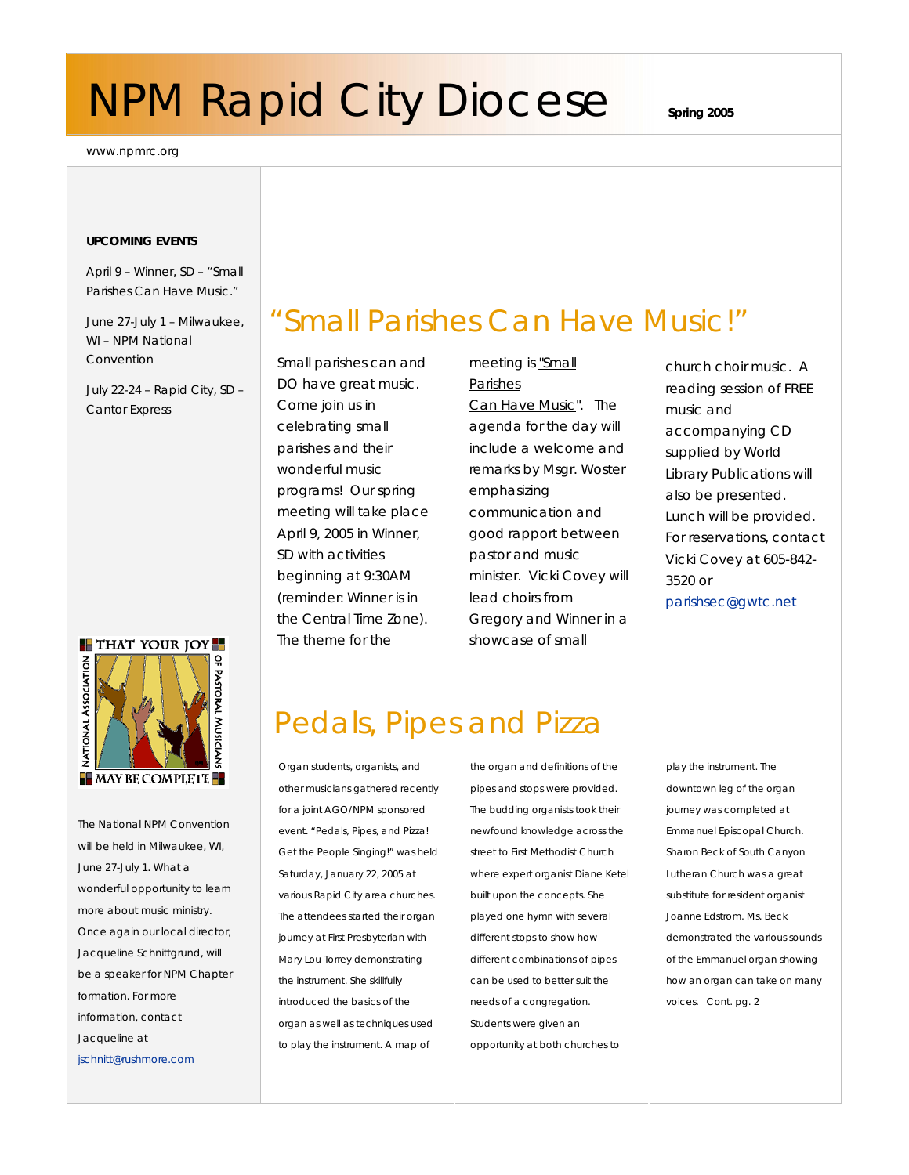# **NPM Rapid City Diocese** spring 2005

www.npmrc.org

#### **UPCOMING EVENTS**

April 9 – Winner, SD – "Small Parishes Can Have Music."

June 27-July 1 – Milwaukee, WI – NPM National Convention

July 22-24 – Rapid City, SD – Cantor Express

#### **THAT YOUR JOY**



The National NPM Convention will be held in Milwaukee, WI, June 27-July 1. What a wonderful opportunity to learn more about music ministry. Once again our local director, Jacqueline Schnittgrund, will be a speaker for NPM Chapter formation. For more information, contact Jacqueline at jschnitt@rushmore.com

### "Small Parishes Can Have Music!"

Small parishes can and DO have great music. Come join us in celebrating small parishes and their wonderful music programs! Our spring meeting will take place April 9, 2005 in Winner, SD with activities beginning at 9:30AM (reminder: Winner is in the Central Time Zone). The theme for the

meeting is "Small Parishes Can Have Music". The agenda for the day will include a welcome and remarks by Msgr. Woster emphasizing communication and good rapport between pastor and music minister. Vicki Covey will lead choirs from Gregory and Winner in a showcase of small

church choir music. A reading session of FREE music and accompanying CD supplied by World Library Publications will also be presented. Lunch will be provided. For reservations, contact Vicki Covey at 605-842- 3520 or parishsec@gwtc.net

### Pedals, Pipes and Pizza

Organ students, organists, and other musicians gathered recently for a joint AGO/NPM sponsored event. "Pedals, Pipes, and Pizza! Get the People Singing!" was held Saturday, January 22, 2005 at various Rapid City area churches. The attendees started their organ journey at First Presbyterian with Mary Lou Torrey demonstrating the instrument. She skillfully introduced the basics of the organ as well as techniques used to play the instrument. A map of

the organ and definitions of the pipes and stops were provided. The budding organists took their newfound knowledge across the street to First Methodist Church where expert organist Diane Ketel built upon the concepts. She played one hymn with several different stops to show how different combinations of pipes can be used to better suit the needs of a congregation. Students were given an opportunity at both churches to

play the instrument. The downtown leg of the organ journey was completed at Emmanuel Episcopal Church. Sharon Beck of South Canyon Lutheran Church was a great substitute for resident organist Joanne Edstrom. Ms. Beck demonstrated the various sounds of the Emmanuel organ showing how an organ can take on many voices. *Cont. pg. 2*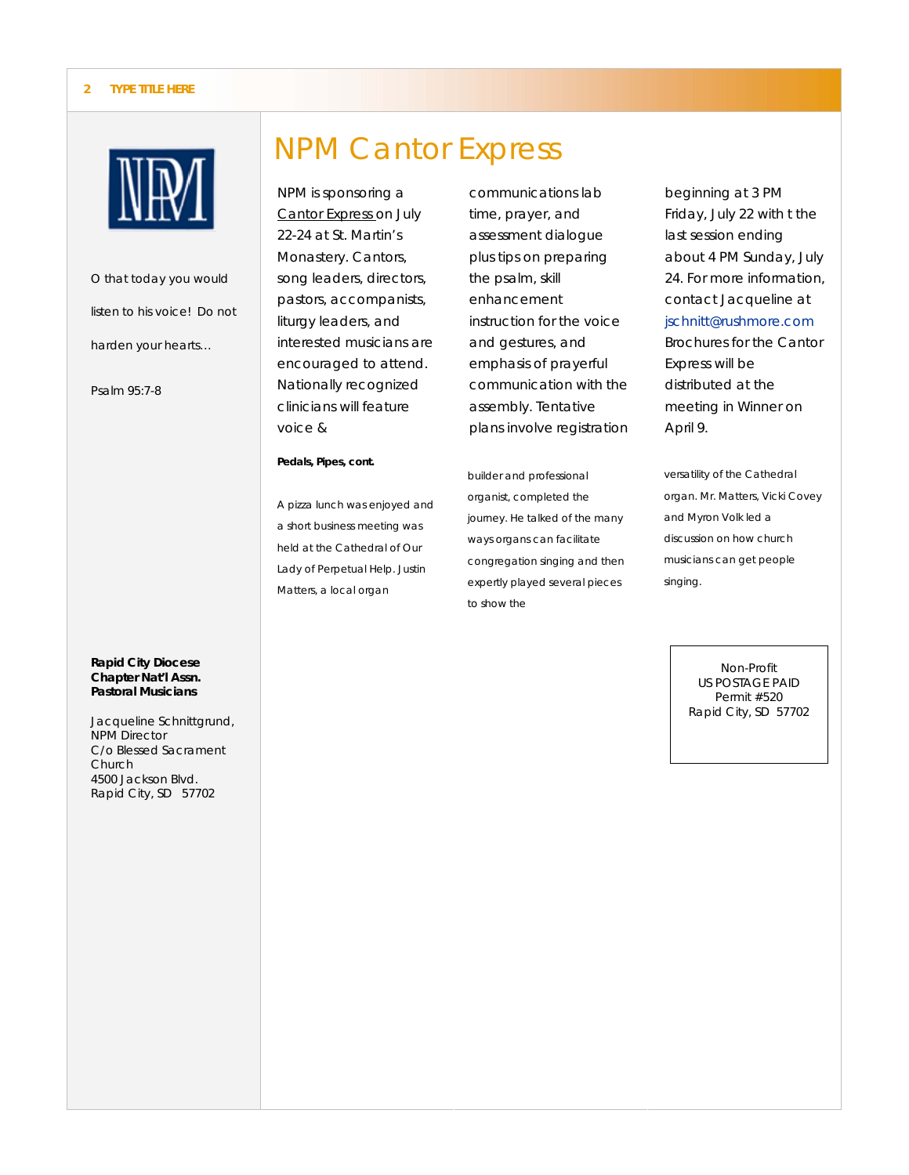#### **2 TYPE TITLE HERE**



*O that today you would listen to his voice! Do not harden your hearts…* 

*Psalm 95:7-8* 

#### NPM Cantor Express

NPM is sponsoring a Cantor Express on July 22-24 at St. Martin's Monastery. Cantors, song leaders, directors, pastors, accompanists, liturgy leaders, and interested musicians are encouraged to attend. Nationally recognized clinicians will feature voice &

#### **Pedals, Pipes, cont.**

A pizza lunch was enjoyed and a short business meeting was held at the Cathedral of Our Lady of Perpetual Help. Justin Matters, a local organ

communications lab time, prayer, and assessment dialogue plus tips on preparing the psalm, skill enhancement instruction for the voice and gestures, and emphasis of prayerful communication with the assembly. Tentative plans involve registration

builder and professional organist, completed the journey. He talked of the many ways organs can facilitate congregation singing and then expertly played several pieces to show the

beginning at 3 PM Friday, July 22 with t the last session ending about 4 PM Sunday, July 24. For more information, contact Jacqueline at jschnitt@rushmore.com Brochures for the Cantor Express will be distributed at the meeting in Winner on April 9.

versatility of the Cathedral organ. Mr. Matters, Vicki Covey and Myron Volk led a discussion on how church musicians can get people singing.

> Non-Profit US POSTAGE PAID Permit #520 Rapid City, SD 57702

#### *Rapid City Diocese Chapter Nat'l Assn. Pastoral Musicians*

Jacqueline Schnittgrund, NPM Director C/o Blessed Sacrament **Church** 4500 Jackson Blvd. Rapid City, SD 57702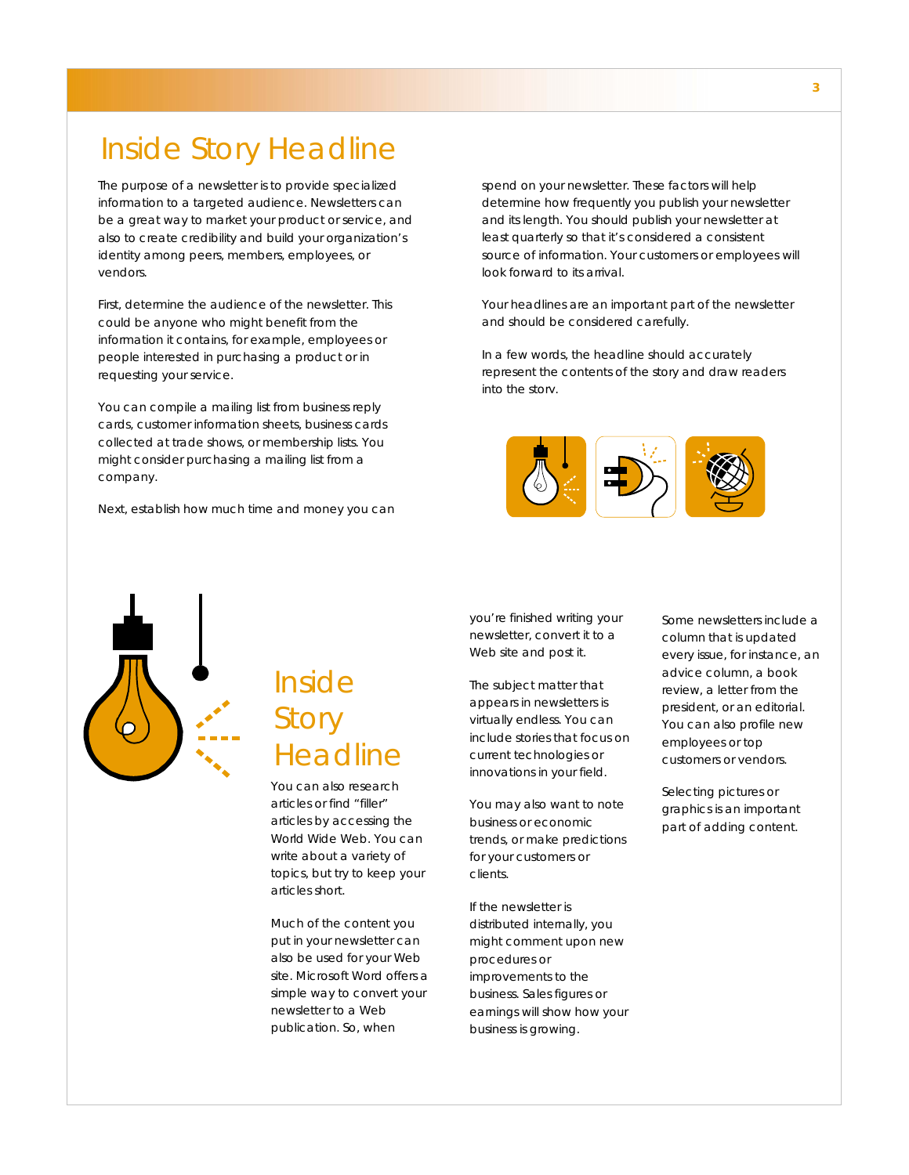The purpose of a newsletter is to provide specialized information to a targeted audience. Newsletters can be a great way to market your product or service, and also to create credibility and build your organization's identity among peers, members, employees, or vendors.

First, determine the audience of the newsletter. This could be anyone who might benefit from the information it contains, for example, employees or people interested in purchasing a product or in requesting your service.

You can compile a mailing list from business reply cards, customer information sheets, business cards collected at trade shows, or membership lists. You might consider purchasing a mailing list from a company.

Next, establish how much time and money you can

spend on your newsletter. These factors will help determine how frequently you publish your newsletter and its length. You should publish your newsletter at least quarterly so that it's considered a consistent source of information. Your customers or employees will look forward to its arrival.

Your headlines are an important part of the newsletter and should be considered carefully.

In a few words, the headline should accurately represent the contents of the story and draw readers into the story.





### Inside **Story** Headline

You can also research articles or find "filler" articles by accessing the World Wide Web. You can write about a variety of topics, but try to keep your articles short.

Much of the content you put in your newsletter can also be used for your Web site. Microsoft Word offers a simple way to convert your newsletter to a Web publication. So, when

you're finished writing your newsletter, convert it to a Web site and post it.

The subject matter that appears in newsletters is virtually endless. You can include stories that focus on current technologies or innovations in your field.

You may also want to note business or economic trends, or make predictions for your customers or clients.

If the newsletter is distributed internally, you might comment upon new procedures or improvements to the business. Sales figures or earnings will show how your business is growing.

Some newsletters include a column that is updated every issue, for instance, an advice column, a book review, a letter from the president, or an editorial. You can also profile new employees or top customers or vendors.

Selecting pictures or graphics is an important part of adding content.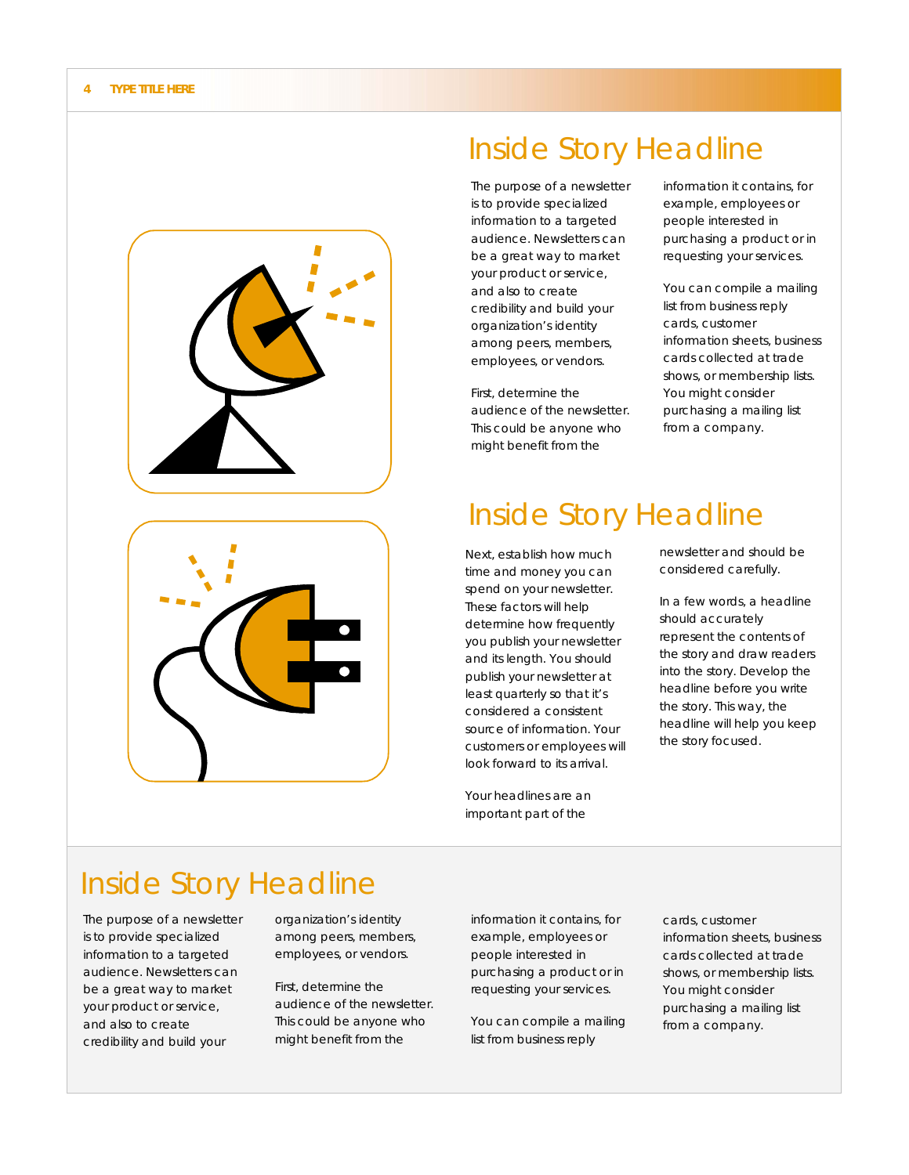



The purpose of a newsletter is to provide specialized information to a targeted audience. Newsletters can be a great way to market your product or service, and also to create credibility and build your organization's identity among peers, members, employees, or vendors.

First, determine the audience of the newsletter. This could be anyone who might benefit from the

information it contains, for example, employees or people interested in purchasing a product or in requesting your services.

You can compile a mailing list from business reply cards, customer information sheets, business cards collected at trade shows, or membership lists. You might consider purchasing a mailing list from a company.

#### Inside Story Headline

Next, establish how much time and money you can spend on your newsletter. These factors will help determine how frequently you publish your newsletter and its length. You should publish your newsletter at least quarterly so that it's considered a consistent source of information. Your customers or employees will look forward to its arrival.

Your headlines are an important part of the

newsletter and should be considered carefully.

In a few words, a headline should accurately represent the contents of the story and draw readers into the story. Develop the headline before you write the story. This way, the headline will help you keep the story focused.

#### Inside Story Headline

The purpose of a newsletter is to provide specialized information to a targeted audience. Newsletters can be a great way to market your product or service, and also to create credibility and build your

organization's identity among peers, members, employees, or vendors.

First, determine the audience of the newsletter. This could be anyone who might benefit from the

information it contains, for example, employees or people interested in purchasing a product or in requesting your services.

You can compile a mailing list from business reply

cards, customer information sheets, business cards collected at trade shows, or membership lists. You might consider purchasing a mailing list from a company.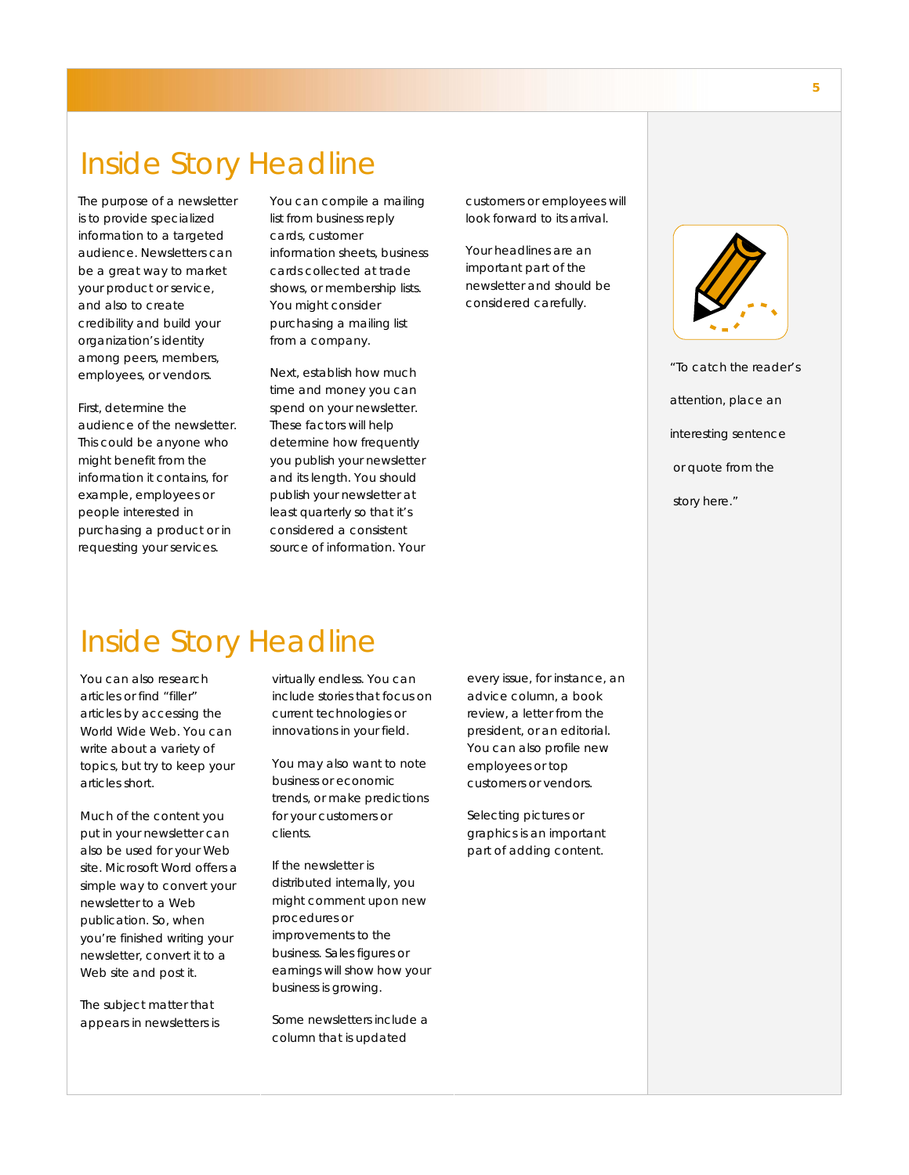The purpose of a newsletter is to provide specialized information to a targeted audience. Newsletters can be a great way to market your product or service, and also to create credibility and build your organization's identity among peers, members, employees, or vendors.

First, determine the audience of the newsletter. This could be anyone who might benefit from the information it contains, for example, employees or people interested in purchasing a product or in requesting your services.

You can compile a mailing list from business reply cards, customer information sheets, business cards collected at trade shows, or membership lists. You might consider purchasing a mailing list from a company.

Next, establish how much time and money you can spend on your newsletter. These factors will help determine how frequently you publish your newsletter and its length. You should publish your newsletter at least quarterly so that it's considered a consistent source of information. Your

customers or employees will look forward to its arrival.

Your headlines are an important part of the newsletter and should be considered carefully.



*"To catch the reader's attention, place an interesting sentence or quote from the story here."* 

#### Inside Story Headline

You can also research articles or find "filler" articles by accessing the World Wide Web. You can write about a variety of topics, but try to keep your articles short.

Much of the content you put in your newsletter can also be used for your Web site. Microsoft Word offers a simple way to convert your newsletter to a Web publication. So, when you're finished writing your newsletter, convert it to a Web site and post it.

The subject matter that appears in newsletters is virtually endless. You can include stories that focus on current technologies or innovations in your field.

You may also want to note business or economic trends, or make predictions for your customers or clients.

If the newsletter is distributed internally, you might comment upon new procedures or improvements to the business. Sales figures or earnings will show how your business is growing.

Some newsletters include a column that is updated

every issue, for instance, an advice column, a book review, a letter from the president, or an editorial. You can also profile new employees or top customers or vendors.

Selecting pictures or graphics is an important part of adding content.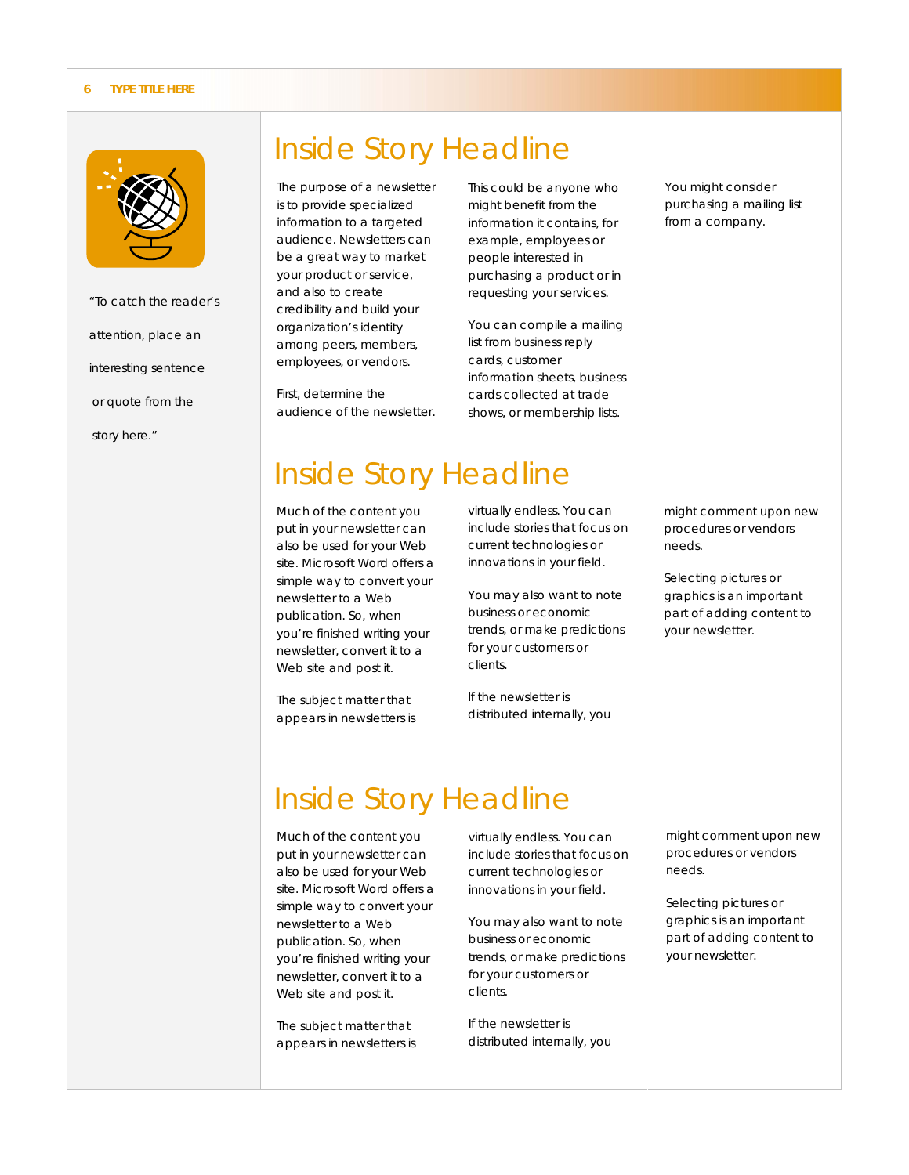#### **6 TYPE TITLE HERE**



*"To catch the reader's attention, place an interesting sentence or quote from the story here."* 

#### Inside Story Headline

The purpose of a newsletter is to provide specialized information to a targeted audience. Newsletters can be a great way to market your product or service, and also to create credibility and build your organization's identity among peers, members, employees, or vendors.

First, determine the audience of the newsletter.

This could be anyone who might benefit from the information it contains, for example, employees or people interested in purchasing a product or in requesting your services.

You can compile a mailing list from business reply cards, customer information sheets, business cards collected at trade shows, or membership lists.

You might consider purchasing a mailing list from a company.

### Inside Story Headline

Much of the content you put in your newsletter can also be used for your Web site. Microsoft Word offers a simple way to convert your newsletter to a Web publication. So, when you're finished writing your newsletter, convert it to a Web site and post it.

The subject matter that appears in newsletters is virtually endless. You can include stories that focus on current technologies or innovations in your field.

You may also want to note business or economic trends, or make predictions for your customers or clients.

If the newsletter is distributed internally, you might comment upon new procedures or vendors needs.

Selecting pictures or graphics is an important part of adding content to your newsletter.

### Inside Story Headline

Much of the content you put in your newsletter can also be used for your Web site. Microsoft Word offers a simple way to convert your newsletter to a Web publication. So, when you're finished writing your newsletter, convert it to a Web site and post it.

The subject matter that appears in newsletters is

virtually endless. You can include stories that focus on current technologies or innovations in your field.

You may also want to note business or economic trends, or make predictions for your customers or clients.

If the newsletter is distributed internally, you might comment upon new procedures or vendors needs.

Selecting pictures or graphics is an important part of adding content to your newsletter.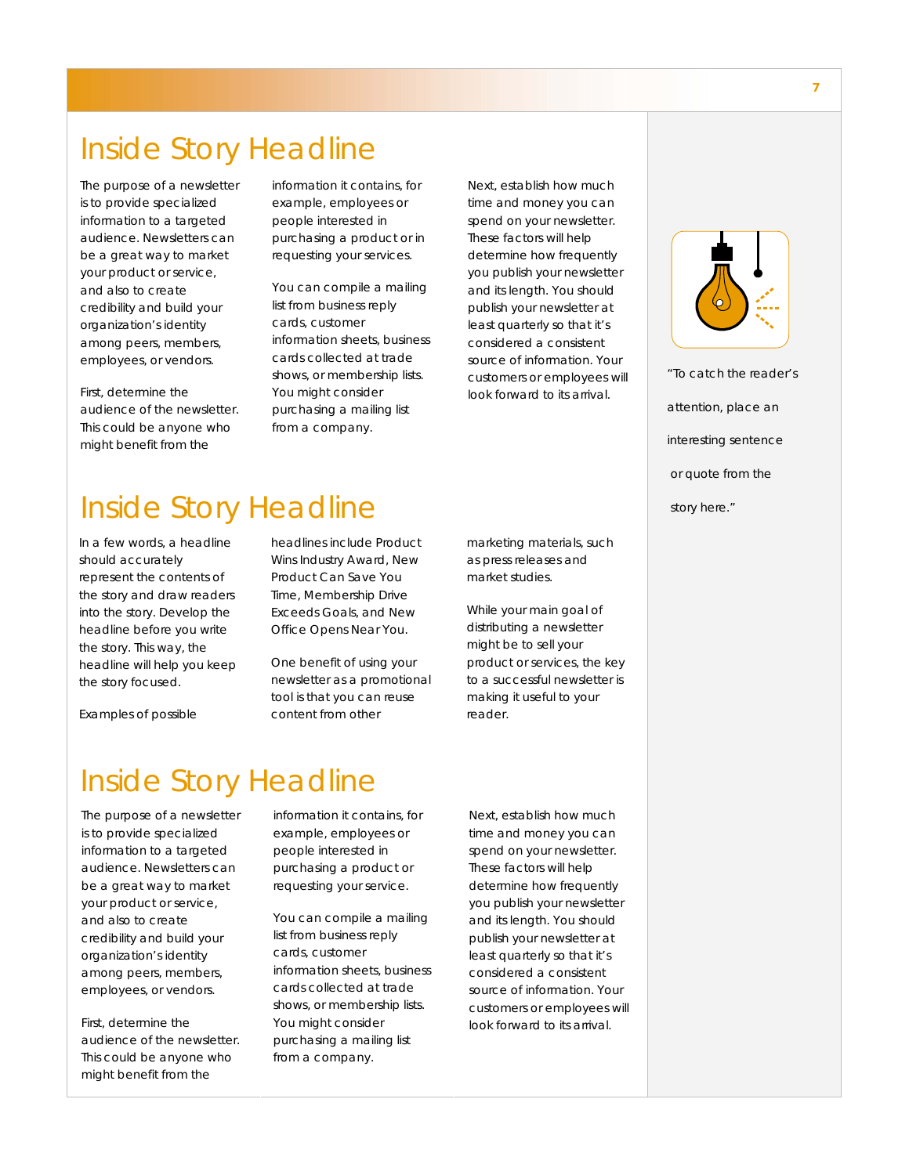The purpose of a newsletter is to provide specialized information to a targeted audience. Newsletters can be a great way to market your product or service, and also to create credibility and build your organization's identity among peers, members, employees, or vendors.

First, determine the audience of the newsletter. This could be anyone who might benefit from the

information it contains, for example, employees or people interested in purchasing a product or in requesting your services.

You can compile a mailing list from business reply cards, customer information sheets, business cards collected at trade shows, or membership lists. You might consider purchasing a mailing list from a company.

Next, establish how much time and money you can spend on your newsletter. These factors will help determine how frequently you publish your newsletter and its length. You should publish your newsletter at least quarterly so that it's considered a consistent source of information. Your customers or employees will look forward to its arrival.



*"To catch the reader's attention, place an interesting sentence or quote from the story here."* 

### Inside Story Headline

In a few words, a headline should accurately represent the contents of the story and draw readers into the story. Develop the headline before you write the story. This way, the headline will help you keep the story focused.

headlines include Product Wins Industry Award, New Product Can Save You Time, Membership Drive Exceeds Goals, and New Office Opens Near You.

One benefit of using your newsletter as a promotional tool is that you can reuse content from other

marketing materials, such as press releases and market studies.

While your main goal of distributing a newsletter might be to sell your product or services, the key to a successful newsletter is making it useful to your reader.

#### Examples of possible

#### Inside Story Headline

The purpose of a newsletter is to provide specialized information to a targeted audience. Newsletters can be a great way to market your product or service, and also to create credibility and build your organization's identity among peers, members, employees, or vendors.

First, determine the audience of the newsletter. This could be anyone who might benefit from the

information it contains, for example, employees or people interested in purchasing a product or requesting your service.

You can compile a mailing list from business reply cards, customer information sheets, business cards collected at trade shows, or membership lists. You might consider purchasing a mailing list from a company.

Next, establish how much time and money you can spend on your newsletter. These factors will help determine how frequently you publish your newsletter and its length. You should publish your newsletter at least quarterly so that it's considered a consistent source of information. Your customers or employees will look forward to its arrival.